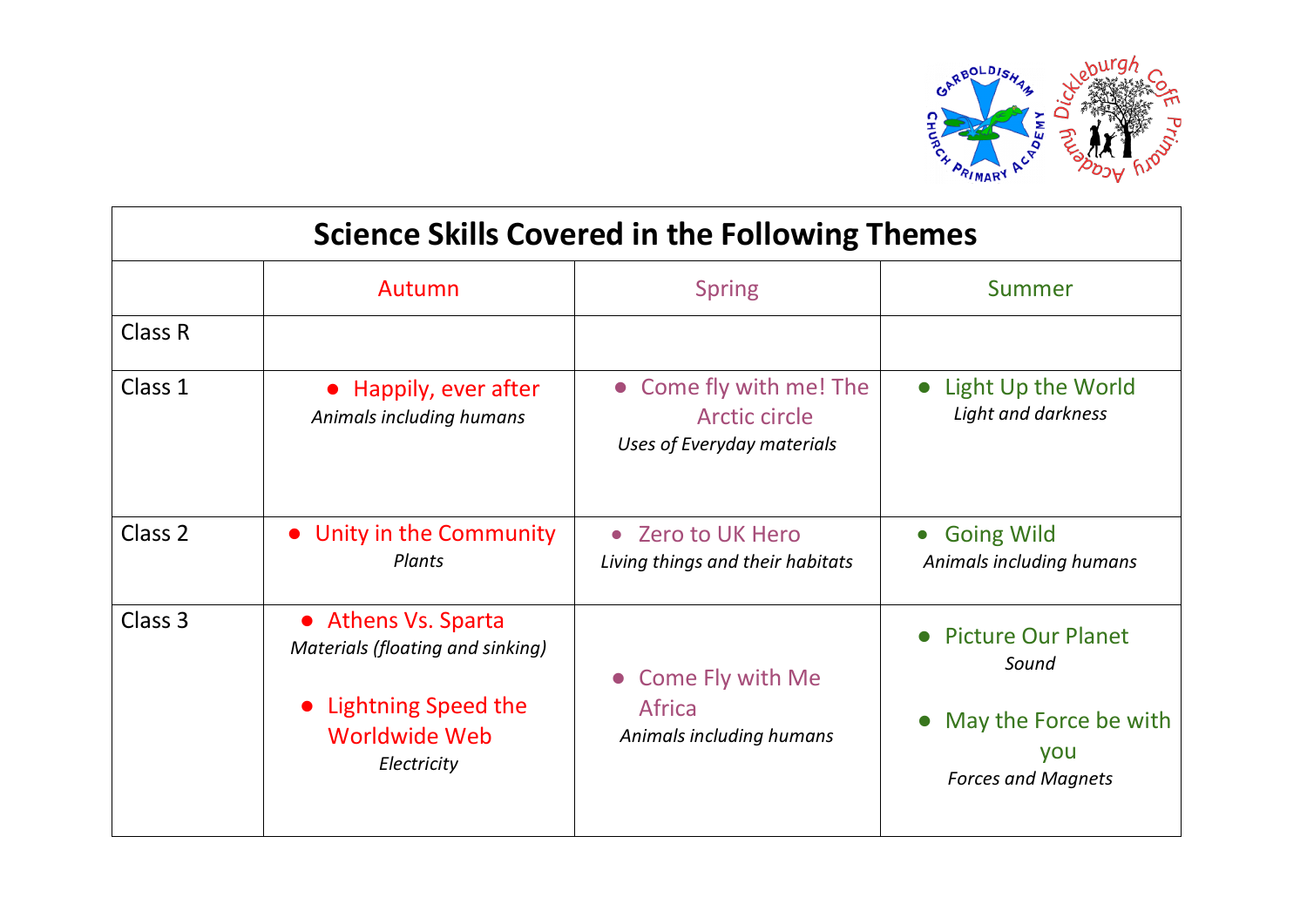

| <b>Science Skills Covered in the Following Themes</b> |                                                                                                                         |                                                                               |                                                                                                 |  |
|-------------------------------------------------------|-------------------------------------------------------------------------------------------------------------------------|-------------------------------------------------------------------------------|-------------------------------------------------------------------------------------------------|--|
|                                                       | Autumn                                                                                                                  | <b>Spring</b>                                                                 | Summer                                                                                          |  |
| Class R                                               |                                                                                                                         |                                                                               |                                                                                                 |  |
| Class 1                                               | • Happily, ever after<br>Animals including humans                                                                       | • Come fly with me! The<br><b>Arctic circle</b><br>Uses of Everyday materials | Light Up the World<br>$\bullet$<br>Light and darkness                                           |  |
| Class 2                                               | • Unity in the Community<br>Plants                                                                                      | <b>Zero to UK Hero</b><br>$\bullet$<br>Living things and their habitats       | <b>Going Wild</b><br>$\bullet$<br>Animals including humans                                      |  |
| Class 3                                               | • Athens Vs. Sparta<br>Materials (floating and sinking)<br>• Lightning Speed the<br><b>Worldwide Web</b><br>Electricity | <b>Come Fly with Me</b><br>$\bullet$<br>Africa<br>Animals including humans    | <b>Picture Our Planet</b><br>Sound<br>May the Force be with<br>you<br><b>Forces and Magnets</b> |  |